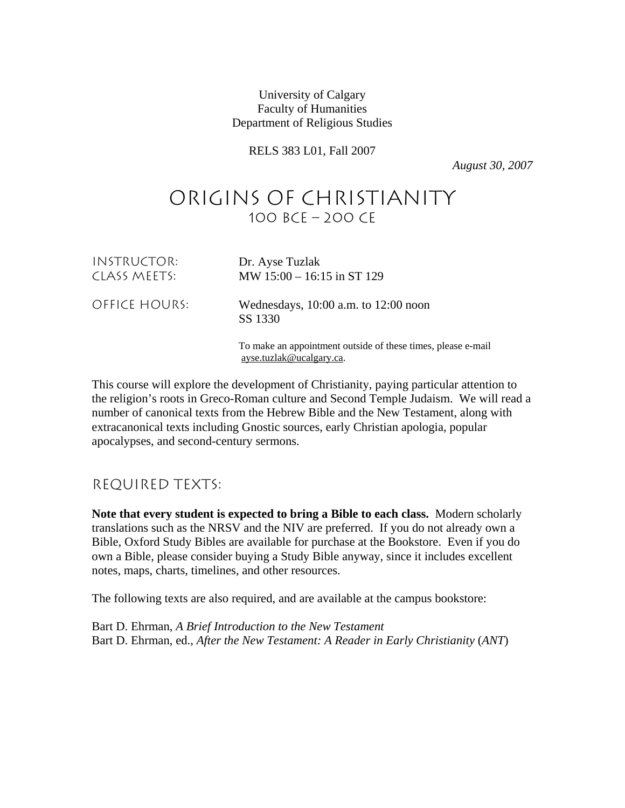University of Calgary Faculty of Humanities Department of Religious Studies

RELS 383 L01, Fall 2007

*August 30, 2007* 

# Origins of Christianity 100 BCE – 200 CE

Instructor: Dr. Ayse Tuzlak

Class Meets: MW 15:00 – 16:15 in ST 129

Office Hours: Wednesdays, 10:00 a.m. to 12:00 noon SS 1330

> To make an appointment outside of these times, please e-mail ayse.tuzlak@ucalgary.ca.

This course will explore the development of Christianity, paying particular attention to the religion's roots in Greco-Roman culture and Second Temple Judaism. We will read a number of canonical texts from the Hebrew Bible and the New Testament, along with extracanonical texts including Gnostic sources, early Christian apologia, popular apocalypses, and second-century sermons.

Required texts:

**Note that every student is expected to bring a Bible to each class.** Modern scholarly translations such as the NRSV and the NIV are preferred. If you do not already own a Bible, Oxford Study Bibles are available for purchase at the Bookstore. Even if you do own a Bible, please consider buying a Study Bible anyway, since it includes excellent notes, maps, charts, timelines, and other resources.

The following texts are also required, and are available at the campus bookstore:

Bart D. Ehrman, *A Brief Introduction to the New Testament*  Bart D. Ehrman, ed., *After the New Testament: A Reader in Early Christianity* (*ANT*)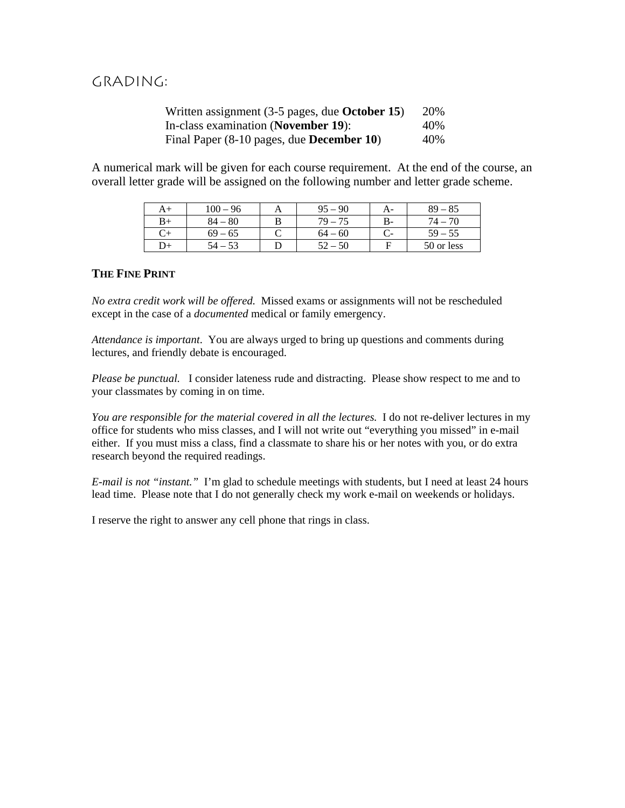### Grading:

| Written assignment $(3-5)$ pages, due <b>October 15</b> ) | 20% |
|-----------------------------------------------------------|-----|
| In-class examination (November 19):                       | 40% |
| Final Paper (8-10 pages, due <b>December 10</b> )         | 40% |

A numerical mark will be given for each course requirement. At the end of the course, an overall letter grade will be assigned on the following number and letter grade scheme.

| A+ | $100 -$<br>-96 | A | 95<br>-90 | А- | $89 - 85$  |
|----|----------------|---|-----------|----|------------|
| B+ | $-80$<br>84    |   | 79.       | B- | 71         |
| C+ | $69 - 65$      |   | $64 - 60$ |    | $59 - 55$  |
| D+ |                |   | 50.<br>50 |    | 50 or less |

#### **THE FINE PRINT**

*No extra credit work will be offered.* Missed exams or assignments will not be rescheduled except in the case of a *documented* medical or family emergency.

*Attendance is important*. You are always urged to bring up questions and comments during lectures, and friendly debate is encouraged.

*Please be punctual.* I consider lateness rude and distracting. Please show respect to me and to your classmates by coming in on time.

*You are responsible for the material covered in all the lectures.* I do not re-deliver lectures in my office for students who miss classes, and I will not write out "everything you missed" in e-mail either. If you must miss a class, find a classmate to share his or her notes with you, or do extra research beyond the required readings.

*E-mail is not "instant."* I'm glad to schedule meetings with students, but I need at least 24 hours lead time. Please note that I do not generally check my work e-mail on weekends or holidays.

I reserve the right to answer any cell phone that rings in class.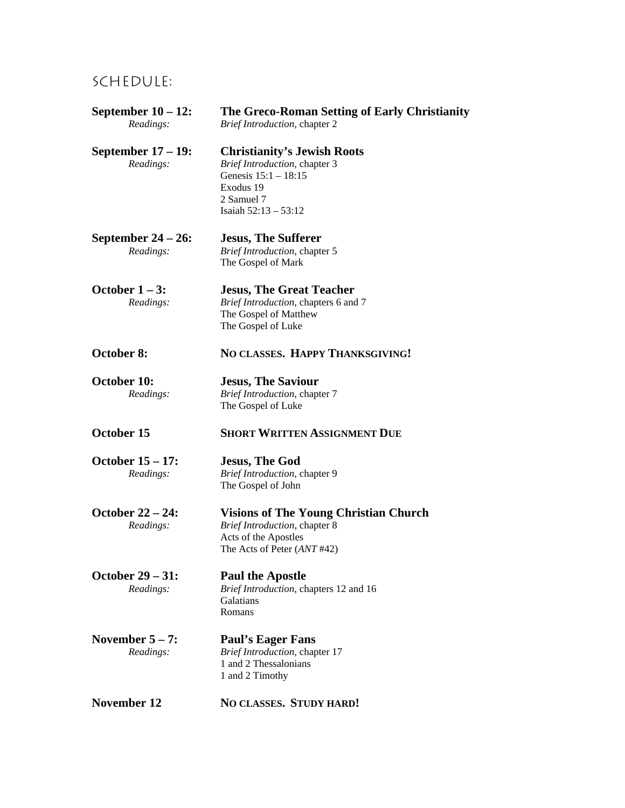## Schedule:

| September $10 - 12$ :<br>Readings:   | The Greco-Roman Setting of Early Christianity<br>Brief Introduction, chapter 2                                                                   |
|--------------------------------------|--------------------------------------------------------------------------------------------------------------------------------------------------|
| September 17 – 19:<br>Readings:      | <b>Christianity's Jewish Roots</b><br>Brief Introduction, chapter 3<br>Genesis 15:1 - 18:15<br>Exodus 19<br>2 Samuel 7<br>Isaiah $52:13 - 53:12$ |
| September 24 – 26:<br>Readings:      | <b>Jesus, The Sufferer</b><br>Brief Introduction, chapter 5<br>The Gospel of Mark                                                                |
| October $1 - 3$ :<br>Readings:       | <b>Jesus, The Great Teacher</b><br>Brief Introduction, chapters 6 and 7<br>The Gospel of Matthew<br>The Gospel of Luke                           |
| <b>October 8:</b>                    | NO CLASSES. HAPPY THANKSGIVING!                                                                                                                  |
| October 10:<br>Readings:             | <b>Jesus, The Saviour</b><br>Brief Introduction, chapter 7<br>The Gospel of Luke                                                                 |
| October 15                           | <b>SHORT WRITTEN ASSIGNMENT DUE</b>                                                                                                              |
| <b>October 15 – 17:</b><br>Readings: | <b>Jesus, The God</b><br>Brief Introduction, chapter 9<br>The Gospel of John                                                                     |
| <b>October 22 – 24:</b><br>Readings: | <b>Visions of The Young Christian Church</b><br>Brief Introduction, chapter 8<br>Acts of the Apostles<br>The Acts of Peter (ANT #42)             |
| <b>October 29 – 31:</b><br>Readings: | <b>Paul the Apostle</b><br>Brief Introduction, chapters 12 and 16<br>Galatians<br>Romans                                                         |
| November $5 - 7$ :<br>Readings:      | <b>Paul's Eager Fans</b><br>Brief Introduction, chapter 17<br>1 and 2 Thessalonians<br>1 and 2 Timothy                                           |
| <b>November 12</b>                   | NO CLASSES. STUDY HARD!                                                                                                                          |